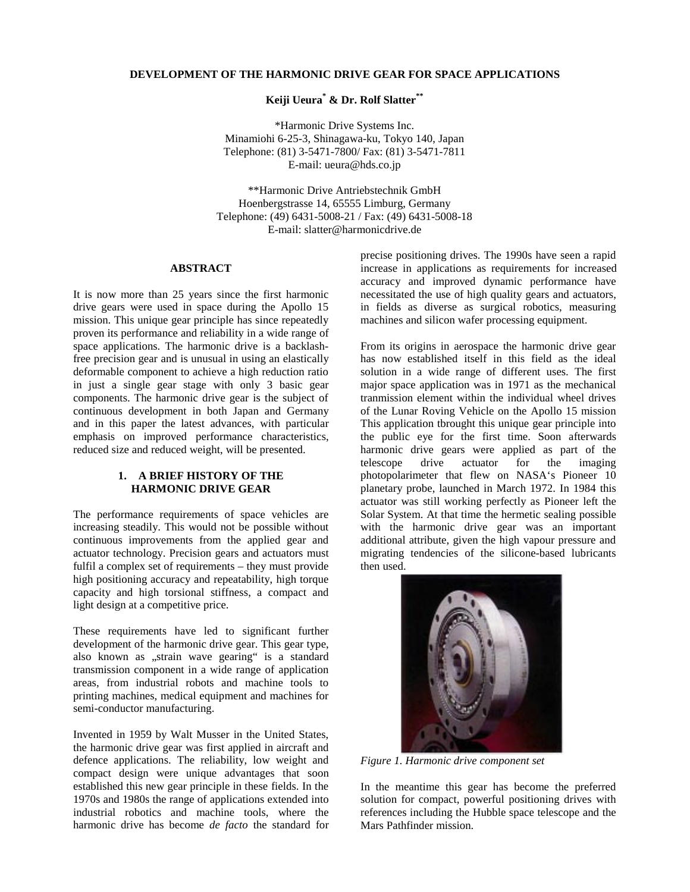## **DEVELOPMENT OF THE HARMONIC DRIVE GEAR FOR SPACE APPLICATIONS**

**Keiji Ueura\* & Dr. Rolf Slatter\*\***

\*Harmonic Drive Systems Inc. Minamiohi 6-25-3, Shinagawa-ku, Tokyo 140, Japan Telephone: (81) 3-5471-7800/ Fax: (81) 3-5471-7811 E-mail: ueura@hds.co.jp

\*\*Harmonic Drive Antriebstechnik GmbH Hoenbergstrasse 14, 65555 Limburg, Germany Telephone: (49) 6431-5008-21 / Fax: (49) 6431-5008-18 E-mail: slatter@harmonicdrive.de

### **ABSTRACT**

It is now more than 25 years since the first harmonic drive gears were used in space during the Apollo 15 mission. This unique gear principle has since repeatedly proven its performance and reliability in a wide range of space applications. The harmonic drive is a backlashfree precision gear and is unusual in using an elastically deformable component to achieve a high reduction ratio in just a single gear stage with only 3 basic gear components. The harmonic drive gear is the subject of continuous development in both Japan and Germany and in this paper the latest advances, with particular emphasis on improved performance characteristics, reduced size and reduced weight, will be presented.

## **1. A BRIEF HISTORY OF THE HARMONIC DRIVE GEAR**

The performance requirements of space vehicles are increasing steadily. This would not be possible without continuous improvements from the applied gear and actuator technology. Precision gears and actuators must fulfil a complex set of requirements – they must provide high positioning accuracy and repeatability, high torque capacity and high torsional stiffness, a compact and light design at a competitive price.

These requirements have led to significant further development of the harmonic drive gear. This gear type, also known as "strain wave gearing" is a standard transmission component in a wide range of application areas, from industrial robots and machine tools to printing machines, medical equipment and machines for semi-conductor manufacturing.

Invented in 1959 by Walt Musser in the United States, the harmonic drive gear was first applied in aircraft and defence applications. The reliability, low weight and compact design were unique advantages that soon established this new gear principle in these fields. In the 1970s and 1980s the range of applications extended into industrial robotics and machine tools, where the harmonic drive has become *de facto* the standard for precise positioning drives. The 1990s have seen a rapid increase in applications as requirements for increased accuracy and improved dynamic performance have necessitated the use of high quality gears and actuators, in fields as diverse as surgical robotics, measuring machines and silicon wafer processing equipment.

From its origins in aerospace the harmonic drive gear has now established itself in this field as the ideal solution in a wide range of different uses. The first major space application was in 1971 as the mechanical tranmission element within the individual wheel drives of the Lunar Roving Vehicle on the Apollo 15 mission This application tbrought this unique gear principle into the public eye for the first time. Soon afterwards harmonic drive gears were applied as part of the telescope drive actuator for the imaging photopolarimeter that flew on NASA's Pioneer 10 planetary probe, launched in March 1972. In 1984 this actuator was still working perfectly as Pioneer left the Solar System. At that time the hermetic sealing possible with the harmonic drive gear was an important additional attribute, given the high vapour pressure and migrating tendencies of the silicone-based lubricants then used.



*Figure 1. Harmonic drive component set*

In the meantime this gear has become the preferred solution for compact, powerful positioning drives with references including the Hubble space telescope and the Mars Pathfinder mission.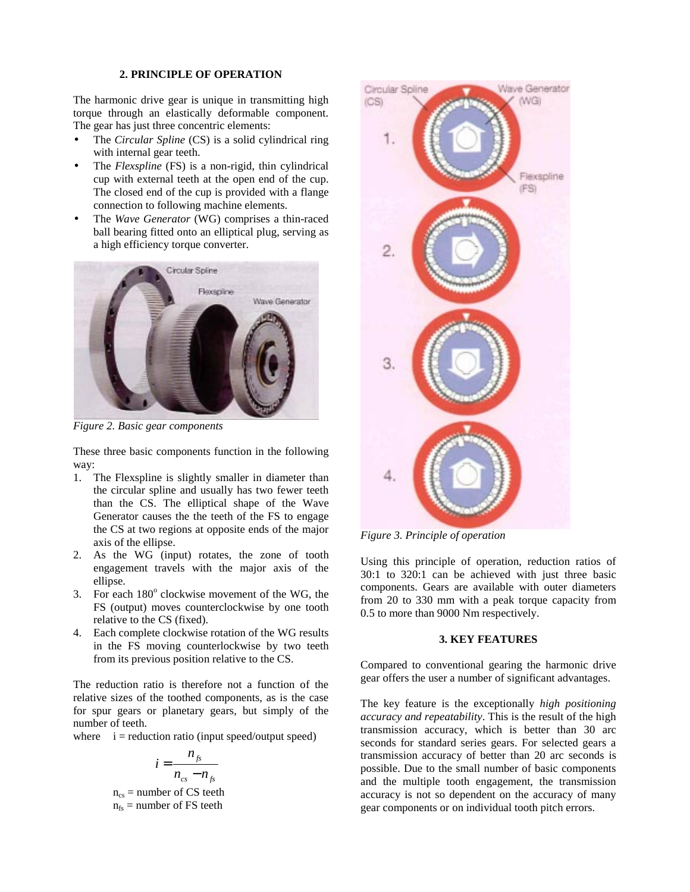# **2. PRINCIPLE OF OPERATION**

The harmonic drive gear is unique in transmitting high torque through an elastically deformable component. The gear has just three concentric elements:

- The *Circular Spline* (CS) is a solid cylindrical ring with internal gear teeth.
- The *Flexspline* (FS) is a non-rigid, thin cylindrical cup with external teeth at the open end of the cup. The closed end of the cup is provided with a flange connection to following machine elements.
- The *Wave Generator* (WG) comprises a thin-raced ball bearing fitted onto an elliptical plug, serving as a high efficiency torque converter.



*Figure 2. Basic gear components*

These three basic components function in the following way:

- 1. The Flexspline is slightly smaller in diameter than the circular spline and usually has two fewer teeth than the CS. The elliptical shape of the Wave Generator causes the the teeth of the FS to engage the CS at two regions at opposite ends of the major axis of the ellipse.
- 2. As the WG (input) rotates, the zone of tooth engagement travels with the major axis of the ellipse.
- 3. For each  $180^\circ$  clockwise movement of the WG, the FS (output) moves counterclockwise by one tooth relative to the CS (fixed).
- 4. Each complete clockwise rotation of the WG results in the FS moving counterlockwise by two teeth from its previous position relative to the CS.

The reduction ratio is therefore not a function of the relative sizes of the toothed components, as is the case for spur gears or planetary gears, but simply of the number of teeth.

where  $i =$  reduction ratio (input speed/output speed)

$$
i = \frac{n_{fs}}{n_{cs} - n_{fs}}
$$
  
n<sub>cs</sub> = number of CS teeth  
n<sub>fs</sub> = number of FS teeth



*Figure 3. Principle of operation*

Using this principle of operation, reduction ratios of 30:1 to 320:1 can be achieved with just three basic components. Gears are available with outer diameters from 20 to 330 mm with a peak torque capacity from 0.5 to more than 9000 Nm respectively.

### **3. KEY FEATURES**

Compared to conventional gearing the harmonic drive gear offers the user a number of significant advantages.

The key feature is the exceptionally *high positioning accuracy and repeatability*. This is the result of the high transmission accuracy, which is better than 30 arc seconds for standard series gears. For selected gears a transmission accuracy of better than 20 arc seconds is possible. Due to the small number of basic components and the multiple tooth engagement, the transmission accuracy is not so dependent on the accuracy of many gear components or on individual tooth pitch errors.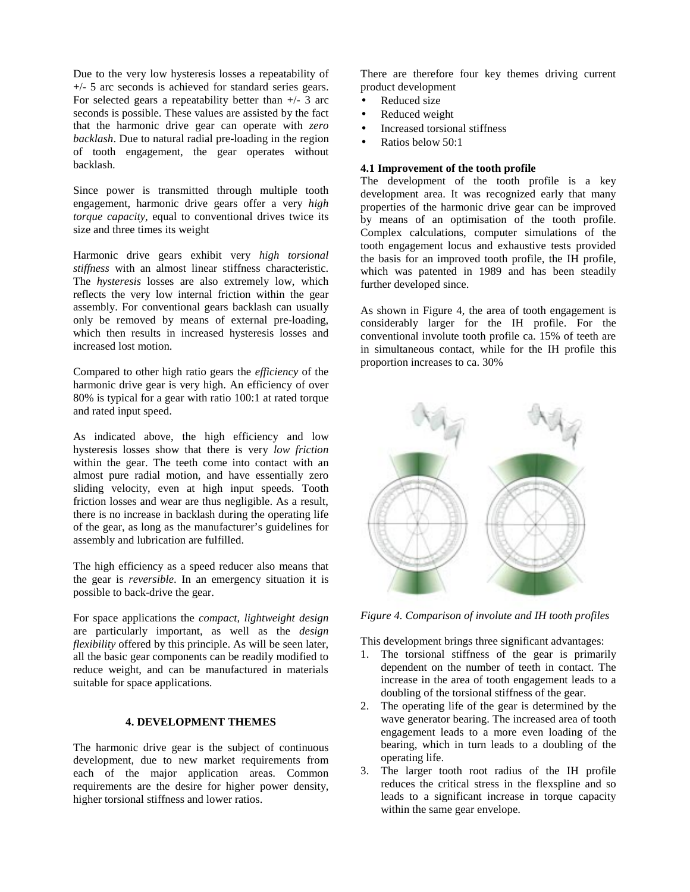Due to the very low hysteresis losses a repeatability of +/- 5 arc seconds is achieved for standard series gears. For selected gears a repeatability better than  $+/- 3$  arc seconds is possible. These values are assisted by the fact that the harmonic drive gear can operate with *zero backlash*. Due to natural radial pre-loading in the region of tooth engagement, the gear operates without backlash.

Since power is transmitted through multiple tooth engagement, harmonic drive gears offer a very *high torque capacity*, equal to conventional drives twice its size and three times its weight

Harmonic drive gears exhibit very *high torsional stiffness* with an almost linear stiffness characteristic. The *hysteresis* losses are also extremely low, which reflects the very low internal friction within the gear assembly. For conventional gears backlash can usually only be removed by means of external pre-loading, which then results in increased hysteresis losses and increased lost motion.

Compared to other high ratio gears the *efficiency* of the harmonic drive gear is very high. An efficiency of over 80% is typical for a gear with ratio 100:1 at rated torque and rated input speed.

As indicated above, the high efficiency and low hysteresis losses show that there is very *low friction* within the gear. The teeth come into contact with an almost pure radial motion, and have essentially zero sliding velocity, even at high input speeds. Tooth friction losses and wear are thus negligible. As a result, there is no increase in backlash during the operating life of the gear, as long as the manufacturer's guidelines for assembly and lubrication are fulfilled.

The high efficiency as a speed reducer also means that the gear is *reversible*. In an emergency situation it is possible to back-drive the gear.

For space applications the *compact, lightweight design* are particularly important, as well as the *design flexibility* offered by this principle. As will be seen later, all the basic gear components can be readily modified to reduce weight, and can be manufactured in materials suitable for space applications.

### **4. DEVELOPMENT THEMES**

The harmonic drive gear is the subject of continuous development, due to new market requirements from each of the major application areas. Common requirements are the desire for higher power density, higher torsional stiffness and lower ratios.

There are therefore four key themes driving current product development

- Reduced size
- Reduced weight
- Increased torsional stiffness
- Ratios below 50:1

### **4.1 Improvement of the tooth profile**

The development of the tooth profile is a key development area. It was recognized early that many properties of the harmonic drive gear can be improved by means of an optimisation of the tooth profile. Complex calculations, computer simulations of the tooth engagement locus and exhaustive tests provided the basis for an improved tooth profile, the IH profile, which was patented in 1989 and has been steadily further developed since.

As shown in Figure 4, the area of tooth engagement is considerably larger for the IH profile. For the conventional involute tooth profile ca. 15% of teeth are in simultaneous contact, while for the IH profile this proportion increases to ca. 30%



*Figure 4. Comparison of involute and IH tooth profiles*

This development brings three significant advantages:

- 1. The torsional stiffness of the gear is primarily dependent on the number of teeth in contact. The increase in the area of tooth engagement leads to a doubling of the torsional stiffness of the gear.
- 2. The operating life of the gear is determined by the wave generator bearing. The increased area of tooth engagement leads to a more even loading of the bearing, which in turn leads to a doubling of the operating life.
- 3. The larger tooth root radius of the IH profile reduces the critical stress in the flexspline and so leads to a significant increase in torque capacity within the same gear envelope.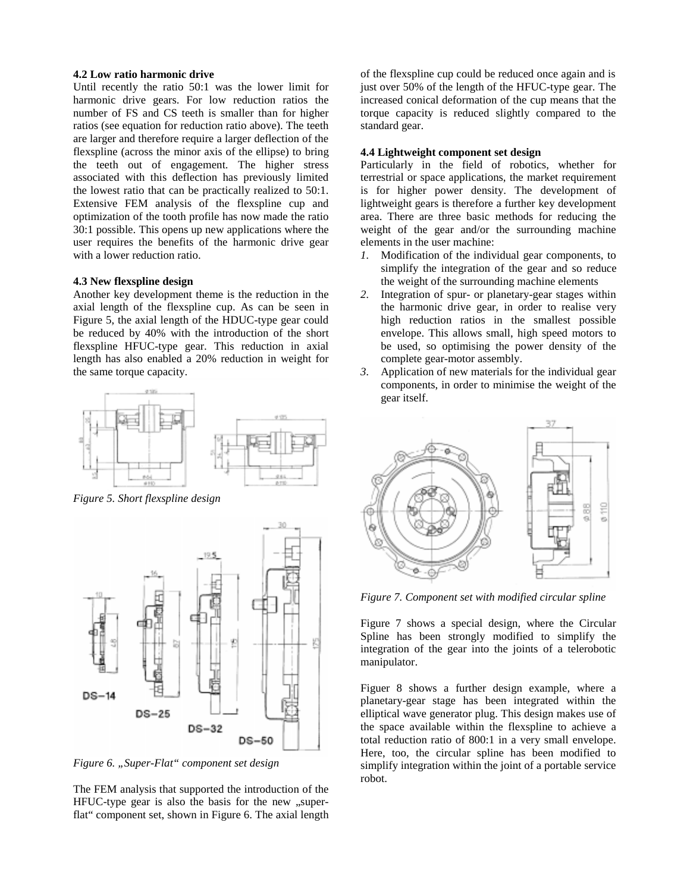#### **4.2 Low ratio harmonic drive**

Until recently the ratio 50:1 was the lower limit for harmonic drive gears. For low reduction ratios the number of FS and CS teeth is smaller than for higher ratios (see equation for reduction ratio above). The teeth are larger and therefore require a larger deflection of the flexspline (across the minor axis of the ellipse) to bring the teeth out of engagement. The higher stress associated with this deflection has previously limited the lowest ratio that can be practically realized to 50:1. Extensive FEM analysis of the flexspline cup and optimization of the tooth profile has now made the ratio 30:1 possible. This opens up new applications where the user requires the benefits of the harmonic drive gear with a lower reduction ratio.

### **4.3 New flexspline design**

Another key development theme is the reduction in the axial length of the flexspline cup. As can be seen in Figure 5, the axial length of the HDUC-type gear could be reduced by 40% with the introduction of the short flexspline HFUC-type gear. This reduction in axial length has also enabled a 20% reduction in weight for the same torque capacity.



*Figure 5. Short flexspline design*



*Figure 6. "Super-Flat" component set design*

The FEM analysis that supported the introduction of the  $HFUC$ -type gear is also the basis for the new  $\mu$ superflat" component set, shown in Figure 6. The axial length

of the flexspline cup could be reduced once again and is just over 50% of the length of the HFUC-type gear. The increased conical deformation of the cup means that the torque capacity is reduced slightly compared to the standard gear.

## **4.4 Lightweight component set design**

Particularly in the field of robotics, whether for terrestrial or space applications, the market requirement is for higher power density. The development of lightweight gears is therefore a further key development area. There are three basic methods for reducing the weight of the gear and/or the surrounding machine elements in the user machine:

- *1.* Modification of the individual gear components, to simplify the integration of the gear and so reduce the weight of the surrounding machine elements
- *2.* Integration of spur- or planetary-gear stages within the harmonic drive gear, in order to realise very high reduction ratios in the smallest possible envelope. This allows small, high speed motors to be used, so optimising the power density of the complete gear-motor assembly.
- *3.* Application of new materials for the individual gear components, in order to minimise the weight of the gear itself.



*Figure 7. Component set with modified circular spline*

Figure 7 shows a special design, where the Circular Spline has been strongly modified to simplify the integration of the gear into the joints of a telerobotic manipulator.

Figuer 8 shows a further design example, where a planetary-gear stage has been integrated within the elliptical wave generator plug. This design makes use of the space available within the flexspline to achieve a total reduction ratio of 800:1 in a very small envelope. Here, too, the circular spline has been modified to simplify integration within the joint of a portable service robot.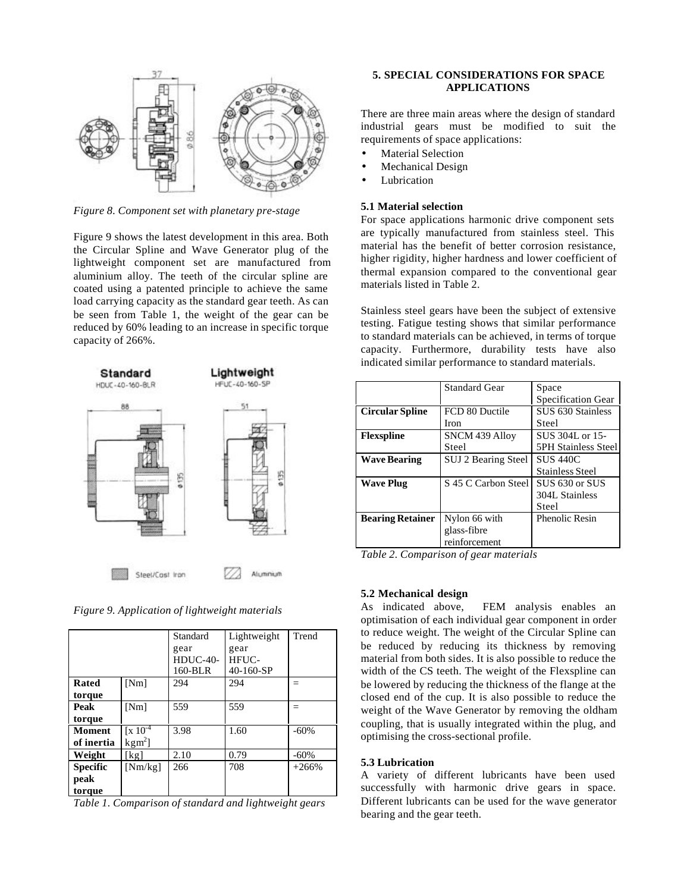

*Figure 8. Component set with planetary pre-stage*

Figure 9 shows the latest development in this area. Both the Circular Spline and Wave Generator plug of the lightweight component set are manufactured from aluminium alloy. The teeth of the circular spline are coated using a patented principle to achieve the same load carrying capacity as the standard gear teeth. As can be seen from Table 1, the weight of the gear can be reduced by 60% leading to an increase in specific torque capacity of 266%.



*Figure 9. Application of lightweight materials*

|                 |                             | Standard   | Lightweight | Trend   |
|-----------------|-----------------------------|------------|-------------|---------|
|                 |                             | gear       | gear        |         |
|                 |                             | $HDUC-40-$ | HFUC-       |         |
|                 |                             | 160-BLR    | $40-160-SP$ |         |
| Rated           | [Nm]                        | 294        | 294         |         |
| torque          |                             |            |             |         |
| Peak            | [Nm]                        | 559        | 559         | =       |
| torque          |                             |            |             |         |
| <b>Moment</b>   | $\sqrt{x}$ 10 <sup>-4</sup> | 3.98       | 1.60        | $-60%$  |
| of inertia      | $kgm2$ ]                    |            |             |         |
| Weight          | [kg]                        | 2.10       | 0.79        | $-60%$  |
| <b>Specific</b> | [Nm/kg]                     | 266        | 708         | $+266%$ |
| peak            |                             |            |             |         |
| torque          |                             |            |             |         |

*Table 1. Comparison of standard and lightweight gears*

# **5. SPECIAL CONSIDERATIONS FOR SPACE APPLICATIONS**

There are three main areas where the design of standard industrial gears must be modified to suit the requirements of space applications:

- Material Selection
- Mechanical Design
- **Lubrication**

## **5.1 Material selection**

For space applications harmonic drive component sets are typically manufactured from stainless steel. This material has the benefit of better corrosion resistance, higher rigidity, higher hardness and lower coefficient of thermal expansion compared to the conventional gear materials listed in Table 2.

Stainless steel gears have been the subject of extensive testing. Fatigue testing shows that similar performance to standard materials can be achieved, in terms of torque capacity. Furthermore, durability tests have also indicated similar performance to standard materials.

|                         | <b>Standard Gear</b>  | Space                      |  |
|-------------------------|-----------------------|----------------------------|--|
|                         |                       | Specification Gear         |  |
| <b>Circular Spline</b>  | FCD 80 Ductile        | SUS 630 Stainless          |  |
|                         | <b>Iron</b>           | Steel                      |  |
| <b>Flexspline</b>       | <b>SNCM 439 Alloy</b> | SUS 304L or 15-            |  |
|                         | Steel                 | <b>5PH Stainless Steel</b> |  |
| <b>Wave Bearing</b>     | SUJ 2 Bearing Steel   | <b>SUS 440C</b>            |  |
|                         |                       | <b>Stainless Steel</b>     |  |
| <b>Wave Plug</b>        | S 45 C Carbon Steel   | SUS 630 or SUS             |  |
|                         |                       | 304L Stainless             |  |
|                         |                       | Steel                      |  |
| <b>Bearing Retainer</b> | Nylon 66 with         | <b>Phenolic Resin</b>      |  |
|                         | glass-fibre           |                            |  |
|                         | reinforcement         |                            |  |

*Table 2. Comparison of gear materials*

# **5.2 Mechanical design**

As indicated above, FEM analysis enables an optimisation of each individual gear component in order to reduce weight. The weight of the Circular Spline can be reduced by reducing its thickness by removing material from both sides. It is also possible to reduce the width of the CS teeth. The weight of the Flexspline can be lowered by reducing the thickness of the flange at the closed end of the cup. It is also possible to reduce the weight of the Wave Generator by removing the oldham coupling, that is usually integrated within the plug, and optimising the cross-sectional profile.

### **5.3 Lubrication**

A variety of different lubricants have been used successfully with harmonic drive gears in space. Different lubricants can be used for the wave generator bearing and the gear teeth.